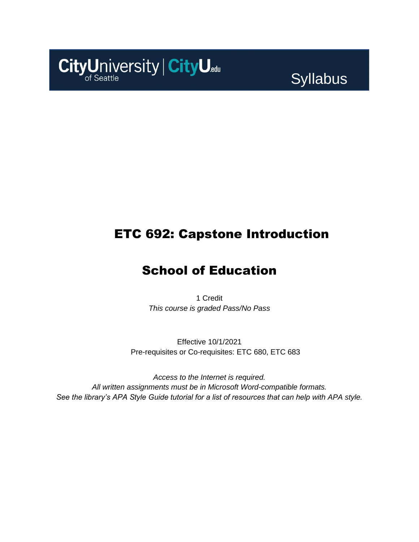

Syllabus

### ETC 692: Capstone Introduction

### School of Education

1 Credit *This course is graded Pass/No Pass*

Effective 10/1/2021 Pre-requisites or Co-requisites: ETC 680, ETC 683

*Access to the Internet is required. All written assignments must be in Microsoft Word-compatible formats. See the library's APA Style Guide tutorial for a list of resources that can help with APA style.*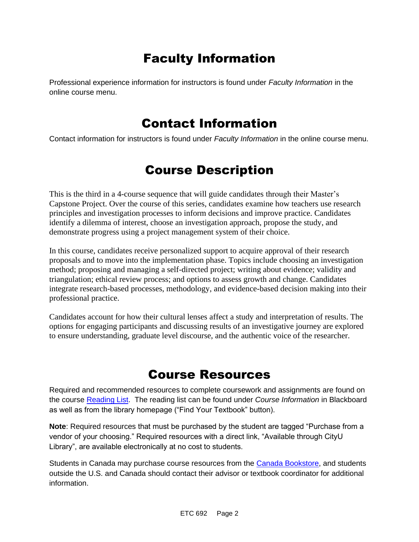# Faculty Information

Professional experience information for instructors is found under *Faculty Information* in the online course menu.

### Contact Information

Contact information for instructors is found under *Faculty Information* in the online course menu.

# Course Description

This is the third in a 4-course sequence that will guide candidates through their Master's Capstone Project. Over the course of this series, candidates examine how teachers use research principles and investigation processes to inform decisions and improve practice. Candidates identify a dilemma of interest, choose an investigation approach, propose the study, and demonstrate progress using a project management system of their choice.

In this course, candidates receive personalized support to acquire approval of their research proposals and to move into the implementation phase. Topics include choosing an investigation method; proposing and managing a self-directed project; writing about evidence; validity and triangulation; ethical review process; and options to assess growth and change. Candidates integrate research-based processes, methodology, and evidence-based decision making into their professional practice.

Candidates account for how their cultural lenses affect a study and interpretation of results. The options for engaging participants and discussing results of an investigative journey are explored to ensure understanding, graduate level discourse, and the authentic voice of the researcher.

### Course Resources

Required and recommended resources to complete coursework and assignments are found on the course [Reading List.](https://cityu.alma.exlibrisgroup.com/leganto/login?auth=SAML) The reading list can be found under *Course Information* in Blackboard as well as from the library homepage ("Find Your Textbook" button).

**Note**: Required resources that must be purchased by the student are tagged "Purchase from a vendor of your choosing." Required resources with a direct link, "Available through CityU Library", are available electronically at no cost to students.

Students in Canada may purchase course resources from the [Canada Bookstore,](https://www.cityubookstore.ca/index.asp) and students outside the U.S. and Canada should contact their advisor or textbook coordinator for additional information.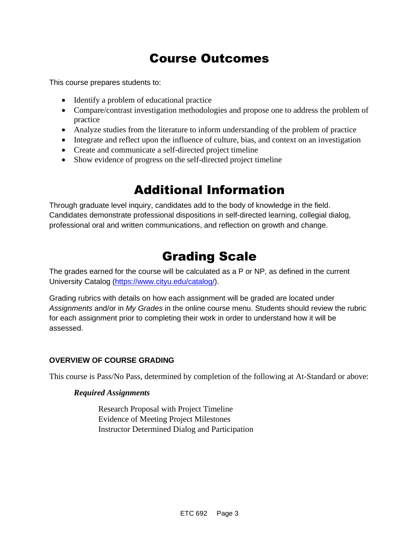# Course Outcomes

This course prepares students to:

- Identify a problem of educational practice
- Compare/contrast investigation methodologies and propose one to address the problem of practice
- Analyze studies from the literature to inform understanding of the problem of practice
- Integrate and reflect upon the influence of culture, bias, and context on an investigation
- Create and communicate a self-directed project timeline
- Show evidence of progress on the self-directed project timeline

## Additional Information

Through graduate level inquiry, candidates add to the body of knowledge in the field. Candidates demonstrate professional dispositions in self-directed learning, collegial dialog, professional oral and written communications, and reflection on growth and change.

# Grading Scale

The grades earned for the course will be calculated as a P or NP, as defined in the current University Catalog [\(https://www.cityu.edu/catalog/\)](https://www.cityu.edu/catalog/).

Grading rubrics with details on how each assignment will be graded are located under *Assignments* and/or in *My Grades* in the online course menu. Students should review the rubric for each assignment prior to completing their work in order to understand how it will be assessed.

#### **OVERVIEW OF COURSE GRADING**

This course is Pass/No Pass, determined by completion of the following at At-Standard or above:

#### *Required Assignments*

Research Proposal with Project Timeline Evidence of Meeting Project Milestones Instructor Determined Dialog and Participation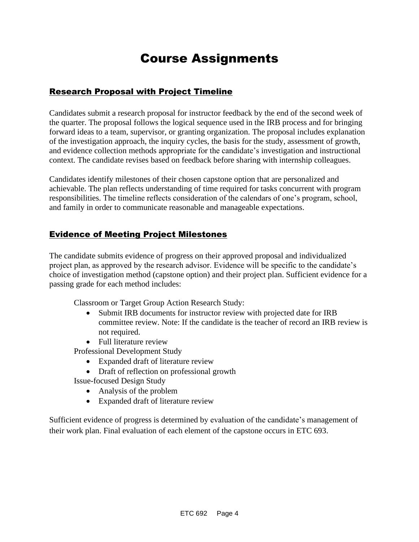# Course Assignments

#### Research Proposal with Project Timeline

Candidates submit a research proposal for instructor feedback by the end of the second week of the quarter. The proposal follows the logical sequence used in the IRB process and for bringing forward ideas to a team, supervisor, or granting organization. The proposal includes explanation of the investigation approach, the inquiry cycles, the basis for the study, assessment of growth, and evidence collection methods appropriate for the candidate's investigation and instructional context. The candidate revises based on feedback before sharing with internship colleagues.

Candidates identify milestones of their chosen capstone option that are personalized and achievable. The plan reflects understanding of time required for tasks concurrent with program responsibilities. The timeline reflects consideration of the calendars of one's program, school, and family in order to communicate reasonable and manageable expectations.

#### Evidence of Meeting Project Milestones

The candidate submits evidence of progress on their approved proposal and individualized project plan, as approved by the research advisor. Evidence will be specific to the candidate's choice of investigation method (capstone option) and their project plan. Sufficient evidence for a passing grade for each method includes:

Classroom or Target Group Action Research Study:

- Submit IRB documents for instructor review with projected date for IRB committee review. Note: If the candidate is the teacher of record an IRB review is not required.
- Full literature review

Professional Development Study

- Expanded draft of literature review
- Draft of reflection on professional growth
- Issue-focused Design Study
	- Analysis of the problem
	- Expanded draft of literature review

Sufficient evidence of progress is determined by evaluation of the candidate's management of their work plan. Final evaluation of each element of the capstone occurs in ETC 693.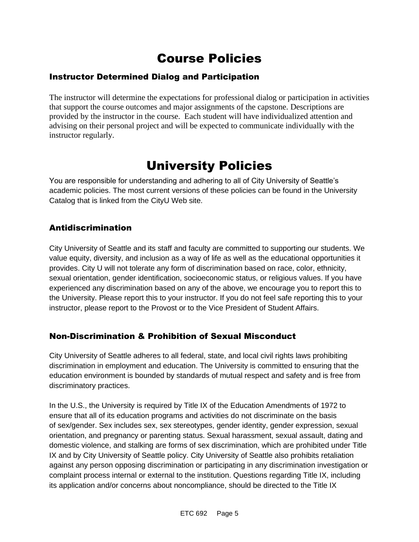# Course Policies

### Instructor Determined Dialog and Participation

The instructor will determine the expectations for professional dialog or participation in activities that support the course outcomes and major assignments of the capstone. Descriptions are provided by the instructor in the course. Each student will have individualized attention and advising on their personal project and will be expected to communicate individually with the instructor regularly.

# University Policies

You are responsible for understanding and adhering to all of City University of Seattle's academic policies. The most current versions of these policies can be found in the University Catalog that is linked from the CityU Web site.

#### Antidiscrimination

City University of Seattle and its staff and faculty are committed to supporting our students. We value equity, diversity, and inclusion as a way of life as well as the educational opportunities it provides. City U will not tolerate any form of discrimination based on race, color, ethnicity, sexual orientation, gender identification, socioeconomic status, or religious values. If you have experienced any discrimination based on any of the above, we encourage you to report this to the University. Please report this to your instructor. If you do not feel safe reporting this to your instructor, please report to the Provost or to the Vice President of Student Affairs.

### Non-Discrimination & Prohibition of Sexual Misconduct

City University of Seattle adheres to all federal, state, and local civil rights laws prohibiting discrimination in employment and education. The University is committed to ensuring that the education environment is bounded by standards of mutual respect and safety and is free from discriminatory practices.

In the U.S., the University is required by Title IX of the Education Amendments of 1972 to ensure that all of its education programs and activities do not discriminate on the basis of sex/gender. Sex includes sex, sex stereotypes, gender identity, gender expression, sexual orientation, and pregnancy or parenting status. Sexual harassment, sexual assault, dating and domestic violence, and stalking are forms of sex discrimination, which are prohibited under Title IX and by City University of Seattle policy. City University of Seattle also prohibits retaliation against any person opposing discrimination or participating in any discrimination investigation or complaint process internal or external to the institution. Questions regarding Title IX, including its application and/or concerns about noncompliance, should be directed to the Title IX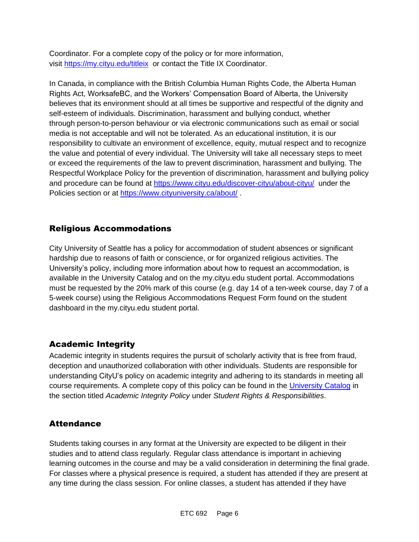Coordinator. For a complete copy of the policy or for more information, visit [https://my.cityu.edu/titleix](https://nam11.safelinks.protection.outlook.com/?url=https%3A%2F%2Fmy.cityu.edu%2Ftitleix&data=04%7C01%7Claker%40cityu.edu%7Cbc558c70c10340dbaa2408d9172365a0%7Cb3fa96d9f5154662add763d854e39e63%7C1%7C0%7C637566263054321964%7CUnknown%7CTWFpbGZsb3d8eyJWIjoiMC4wLjAwMDAiLCJQIjoiV2luMzIiLCJBTiI6Ik1haWwiLCJXVCI6Mn0%3D%7C1000&sdata=GX0hgfxN2OMKFTKjD04gqvwwyU44mfnCmEdCtsEzab0%3D&reserved=0) or contact the Title IX Coordinator.

In Canada, in compliance with the British Columbia Human Rights Code, the Alberta Human Rights Act, WorksafeBC, and the Workers' Compensation Board of Alberta, the University believes that its environment should at all times be supportive and respectful of the dignity and self-esteem of individuals. Discrimination, harassment and bullying conduct, whether through person-to-person behaviour or via electronic communications such as email or social media is not acceptable and will not be tolerated. As an educational institution, it is our responsibility to cultivate an environment of excellence, equity, mutual respect and to recognize the value and potential of every individual. The University will take all necessary steps to meet or exceed the requirements of the law to prevent discrimination, harassment and bullying. The Respectful Workplace Policy for the prevention of discrimination, harassment and bullying policy and procedure can be found at [https://www.cityu.edu/discover-cityu/about-cityu/](https://nam11.safelinks.protection.outlook.com/?url=https%3A%2F%2Fwww.cityu.edu%2Fdiscover-cityu%2Fabout-cityu%2F&data=04%7C01%7Claker%40cityu.edu%7Cbc558c70c10340dbaa2408d9172365a0%7Cb3fa96d9f5154662add763d854e39e63%7C1%7C0%7C637566263054331957%7CUnknown%7CTWFpbGZsb3d8eyJWIjoiMC4wLjAwMDAiLCJQIjoiV2luMzIiLCJBTiI6Ik1haWwiLCJXVCI6Mn0%3D%7C1000&sdata=7Q6QoqwuNLfeOJPewViWSeIwRIBy%2BoqDOiP8xSHYm78%3D&reserved=0) under the Policies section or at [https://www.cityuniversity.ca/about/](https://nam11.safelinks.protection.outlook.com/?url=https%3A%2F%2Fwww.cityuniversity.ca%2Fabout%2F&data=04%7C01%7Claker%40cityu.edu%7Cbc558c70c10340dbaa2408d9172365a0%7Cb3fa96d9f5154662add763d854e39e63%7C1%7C0%7C637566263054331957%7CUnknown%7CTWFpbGZsb3d8eyJWIjoiMC4wLjAwMDAiLCJQIjoiV2luMzIiLCJBTiI6Ik1haWwiLCJXVCI6Mn0%3D%7C1000&sdata=TX6bXEiU0CC6hC1mrTnKpuJywbR06qAj7RMu8QC4RUA%3D&reserved=0) .

#### Religious Accommodations

City University of Seattle has a policy for accommodation of student absences or significant hardship due to reasons of faith or conscience, or for organized religious activities. The University's policy, including more information about how to request an accommodation, is available in the University Catalog and on the my.cityu.edu student portal. Accommodations must be requested by the 20% mark of this course (e.g. day 14 of a ten-week course, day 7 of a 5-week course) using the Religious Accommodations Request Form found on the student dashboard in the my.cityu.edu student portal.

### Academic Integrity

Academic integrity in students requires the pursuit of scholarly activity that is free from fraud, deception and unauthorized collaboration with other individuals. Students are responsible for understanding CityU's policy on academic integrity and adhering to its standards in meeting all course requirements. A complete copy of this policy can be found in the [University Catalog](https://nam11.safelinks.protection.outlook.com/?url=http%3A%2F%2Fwww.cityu.edu%2Fcatalog%2F&data=04%7C01%7Claker%40cityu.edu%7Cbc558c70c10340dbaa2408d9172365a0%7Cb3fa96d9f5154662add763d854e39e63%7C1%7C0%7C637566263054341952%7CUnknown%7CTWFpbGZsb3d8eyJWIjoiMC4wLjAwMDAiLCJQIjoiV2luMzIiLCJBTiI6Ik1haWwiLCJXVCI6Mn0%3D%7C1000&sdata=aL6fsSyLtVzJgdrlE9PtZXb%2F3H6wCdrvPcw4zOoEYTI%3D&reserved=0) in the section titled *Academic Integrity Policy* under *Student Rights & Responsibilities*.

#### **Attendance**

Students taking courses in any format at the University are expected to be diligent in their studies and to attend class regularly. Regular class attendance is important in achieving learning outcomes in the course and may be a valid consideration in determining the final grade. For classes where a physical presence is required, a student has attended if they are present at any time during the class session. For online classes, a student has attended if they have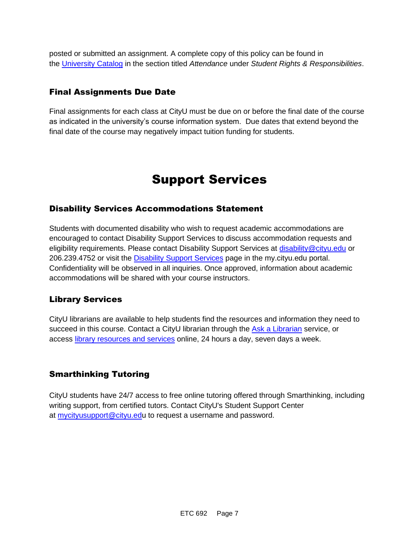posted or submitted an assignment. A complete copy of this policy can be found in the [University Catalog](https://nam11.safelinks.protection.outlook.com/?url=http%3A%2F%2Fwww.cityu.edu%2Fcatalog%2F&data=04%7C01%7Claker%40cityu.edu%7Cbc558c70c10340dbaa2408d9172365a0%7Cb3fa96d9f5154662add763d854e39e63%7C1%7C0%7C637566263054341952%7CUnknown%7CTWFpbGZsb3d8eyJWIjoiMC4wLjAwMDAiLCJQIjoiV2luMzIiLCJBTiI6Ik1haWwiLCJXVCI6Mn0%3D%7C1000&sdata=aL6fsSyLtVzJgdrlE9PtZXb%2F3H6wCdrvPcw4zOoEYTI%3D&reserved=0) in the section titled *Attendance* under *Student Rights & Responsibilities*.

#### Final Assignments Due Date

Final assignments for each class at CityU must be due on or before the final date of the course as indicated in the university's course information system. Due dates that extend beyond the final date of the course may negatively impact tuition funding for students.

## Support Services

#### Disability Services Accommodations Statement

Students with documented disability who wish to request academic accommodations are encouraged to contact Disability Support Services to discuss accommodation requests and eligibility requirements. Please contact Disability Support Services at [disability@cityu.edu](mailto:disability@cityu.edu) or 206.239.4752 or visit the [Disability Support Services](https://nam11.safelinks.protection.outlook.com/?url=https%3A%2F%2Fmy.cityu.edu%2Fdepartment%2Fdisability-support-services%2F&data=04%7C01%7Claker%40cityu.edu%7Cbc558c70c10340dbaa2408d9172365a0%7Cb3fa96d9f5154662add763d854e39e63%7C1%7C0%7C637566263054351946%7CUnknown%7CTWFpbGZsb3d8eyJWIjoiMC4wLjAwMDAiLCJQIjoiV2luMzIiLCJBTiI6Ik1haWwiLCJXVCI6Mn0%3D%7C1000&sdata=e%2FOzbhqrB5SP38rzkwNSwviN3V%2Fv%2BsJNtdettuKSolw%3D&reserved=0) page in the my.cityu.edu portal. Confidentiality will be observed in all inquiries. Once approved, information about academic accommodations will be shared with your course instructors.

#### Library Services

CityU librarians are available to help students find the resources and information they need to succeed in this course. Contact a CityU librarian through the [Ask a Librarian](https://nam11.safelinks.protection.outlook.com/?url=http%3A%2F%2Flibrary.cityu.edu%2Fask-a-librarian%2F&data=04%7C01%7Claker%40cityu.edu%7Cbc558c70c10340dbaa2408d9172365a0%7Cb3fa96d9f5154662add763d854e39e63%7C1%7C0%7C637566263054351946%7CUnknown%7CTWFpbGZsb3d8eyJWIjoiMC4wLjAwMDAiLCJQIjoiV2luMzIiLCJBTiI6Ik1haWwiLCJXVCI6Mn0%3D%7C1000&sdata=N%2Fk3bR2W%2BVUXK4b%2BZd83weGqJbtI4y9O3CdOuOW7%2BiA%3D&reserved=0) service, or access [library resources and services](https://nam11.safelinks.protection.outlook.com/?url=http%3A%2F%2Flibrary.cityu.edu%2F&data=04%7C01%7Claker%40cityu.edu%7Cbc558c70c10340dbaa2408d9172365a0%7Cb3fa96d9f5154662add763d854e39e63%7C1%7C0%7C637566263054361941%7CUnknown%7CTWFpbGZsb3d8eyJWIjoiMC4wLjAwMDAiLCJQIjoiV2luMzIiLCJBTiI6Ik1haWwiLCJXVCI6Mn0%3D%7C1000&sdata=4K7GoPDJosgIt0XDdVisT%2BGn6DZa5bSz0lhZSyjH7kU%3D&reserved=0) online, 24 hours a day, seven days a week.

#### Smarthinking Tutoring

CityU students have 24/7 access to free online tutoring offered through Smarthinking, including writing support, from certified tutors. Contact CityU's Student Support Center at [mycityusupport@cityu.edu](mailto:mycityusupport@cityu.edu) to request a username and password.